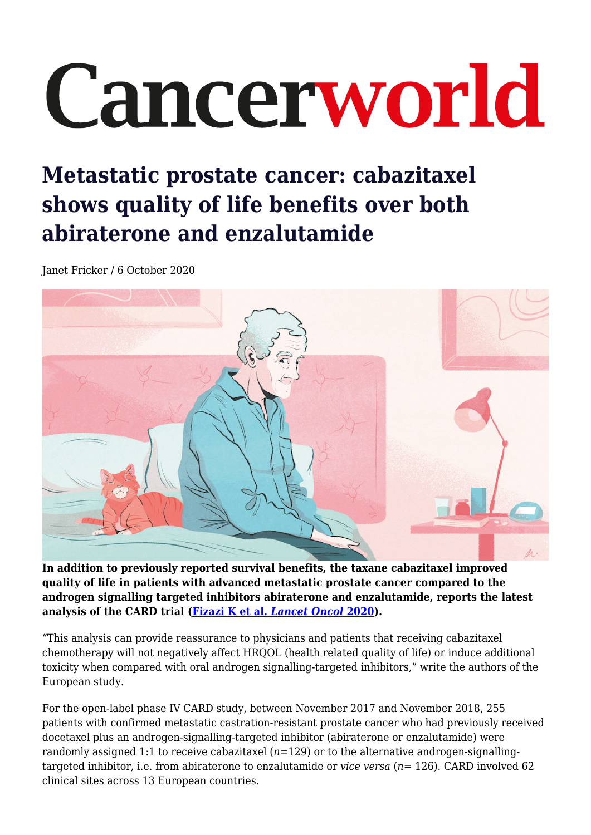## Cancerworld

## **Metastatic prostate cancer: cabazitaxel shows quality of life benefits over both abiraterone and enzalutamide**

Janet Fricker / 6 October 2020



**In addition to previously reported survival benefits, the taxane cabazitaxel improved quality of life in patients with advanced metastatic prostate cancer compared to the androgen signalling targeted inhibitors abiraterone and enzalutamide, reports the latest analysis of the CARD trial ([Fizazi K et al.](https://doi.org/10.1016/S1470-2045(20)30449-6)** *[Lancet Oncol](https://doi.org/10.1016/S1470-2045(20)30449-6)* **[2020](https://doi.org/10.1016/S1470-2045(20)30449-6)).**

"This analysis can provide reassurance to physicians and patients that receiving cabazitaxel chemotherapy will not negatively affect HRQOL (health related quality of life) or induce additional toxicity when compared with oral androgen signalling-targeted inhibitors," write the authors of the European study.

For the open-label phase IV CARD study, between November 2017 and November 2018, 255 patients with confirmed metastatic castration-resistant prostate cancer who had previously received docetaxel plus an androgen-signalling-targeted inhibitor (abiraterone or enzalutamide) were randomly assigned 1:1 to receive cabazitaxel (*n*=129) or to the alternative androgen-signallingtargeted inhibitor, i.e. from abiraterone to enzalutamide or *vice versa* (*n*= 126). CARD involved 62 clinical sites across 13 European countries.